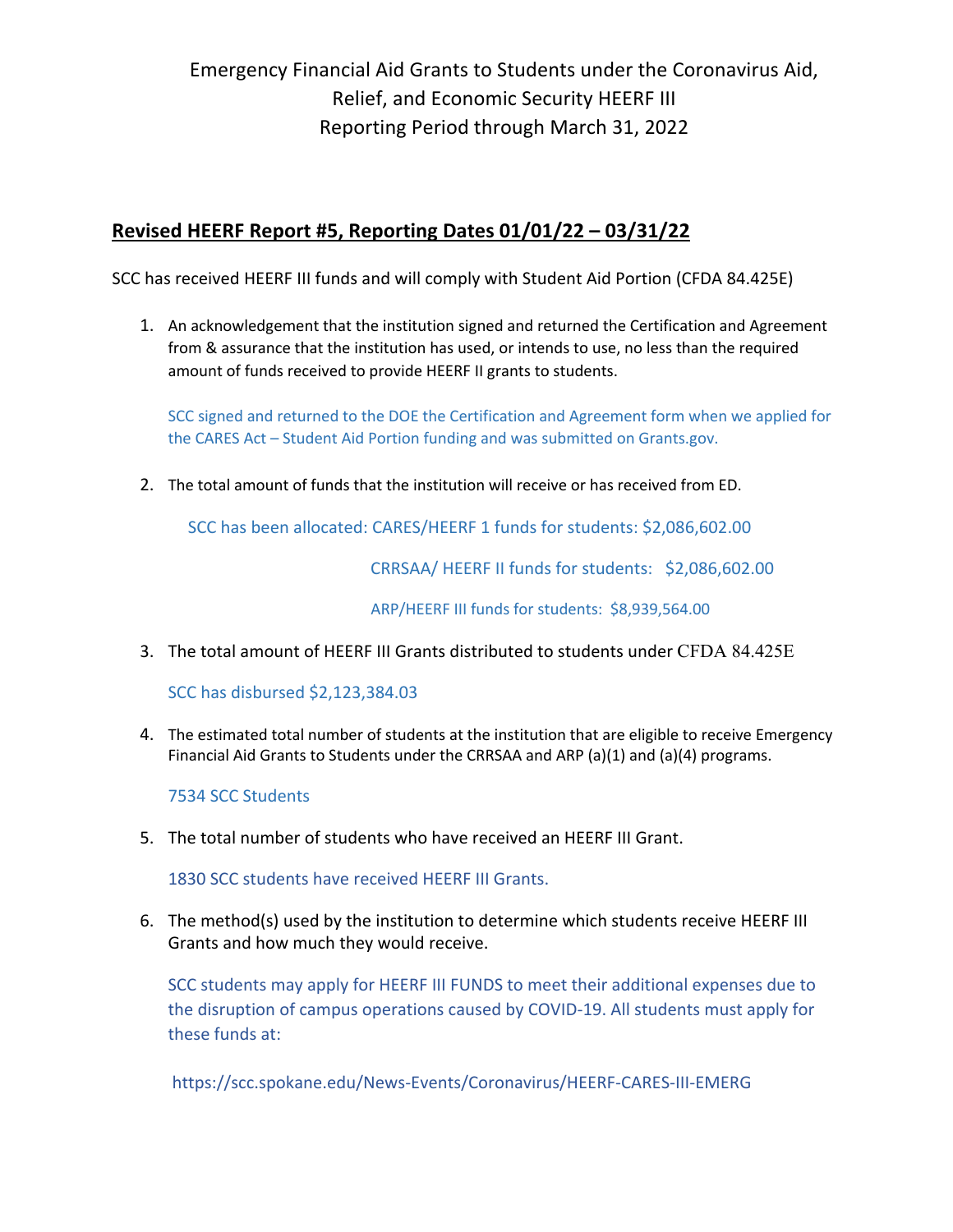Emergency Financial Aid Grants to Students under the Coronavirus Aid, Relief, and Economic Security HEERF III Reporting Period through March 31, 2022

### **Revised HEERF Report #5, Reporting Dates 01/01/22 – 03/31/22**

SCC has received HEERF III funds and will comply with Student Aid Portion (CFDA 84.425E)

1. An acknowledgement that the institution signed and returned the Certification and Agreement from & assurance that the institution has used, or intends to use, no less than the required amount of funds received to provide HEERF II grants to students.

SCC signed and returned to the DOE the Certification and Agreement form when we applied for the CARES Act – Student Aid Portion funding and was submitted on Grants.gov.

2. The total amount of funds that the institution will receive or has received from ED.

SCC has been allocated: CARES/HEERF 1 funds for students: \$2,086,602.00

CRRSAA/ HEERF II funds for students: \$2,086,602.00

ARP/HEERF III funds for students: \$8,939,564.00

3. The total amount of HEERF III Grants distributed to students under CFDA 84.425E

SCC has disbursed \$2,123,384.03

4. The estimated total number of students at the institution that are eligible to receive Emergency Financial Aid Grants to Students under the CRRSAA and ARP (a)(1) and (a)(4) programs.

7534 SCC Students

5. The total number of students who have received an HEERF III Grant.

1830 SCC students have received HEERF III Grants.

6. The method(s) used by the institution to determine which students receive HEERF III Grants and how much they would receive.

SCC students may apply for HEERF III FUNDS to meet their additional expenses due to the disruption of campus operations caused by COVID-19. All students must apply for these funds at:

https://scc.spokane.edu/News-Events/Coronavirus/HEERF-CARES-III-EMERG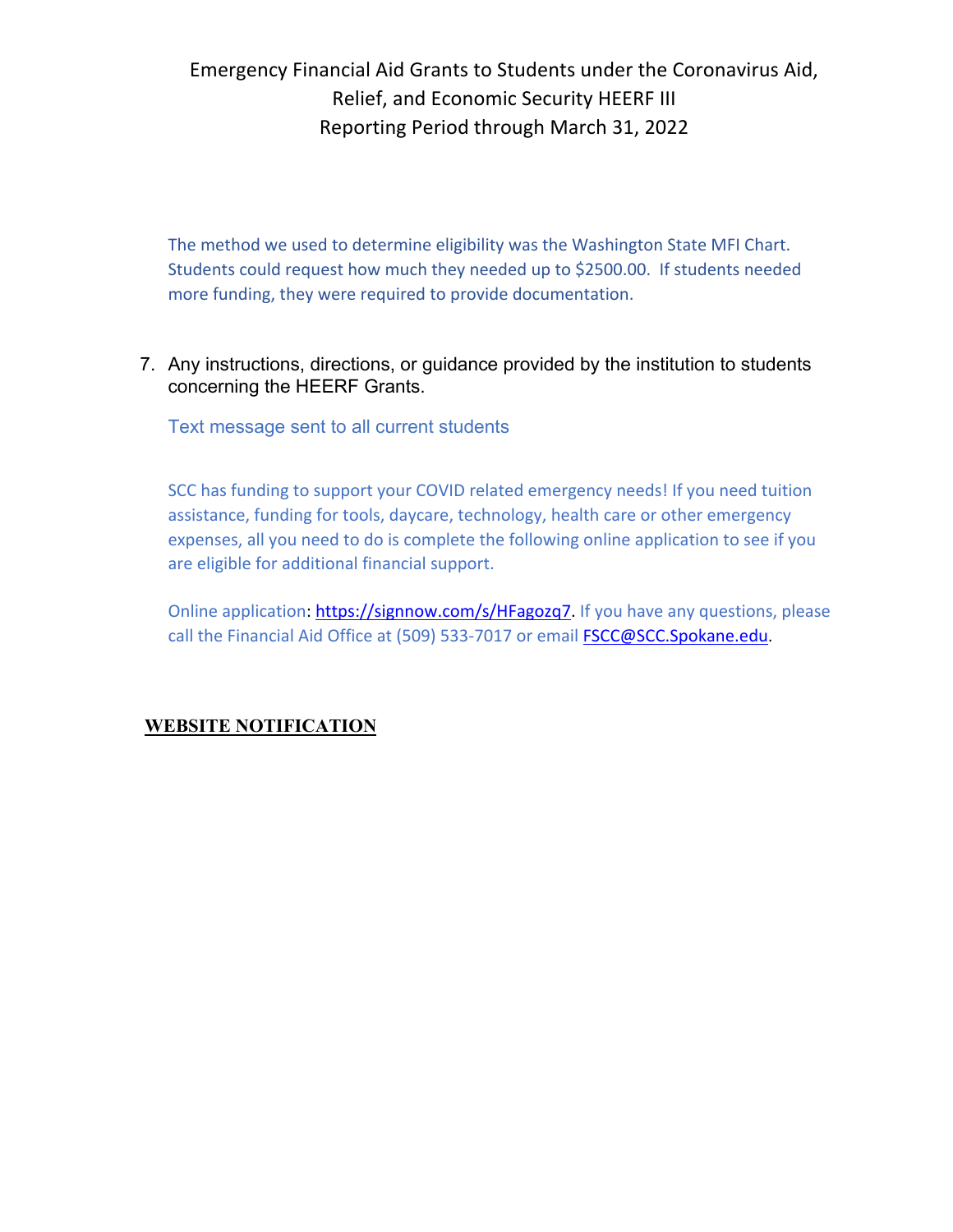## Emergency Financial Aid Grants to Students under the Coronavirus Aid, Relief, and Economic Security HEERF III Reporting Period through March 31, 2022

The method we used to determine eligibility was the Washington State MFI Chart. Students could request how much they needed up to \$2500.00. If students needed more funding, they were required to provide documentation.

7. Any instructions, directions, or guidance provided by the institution to students concerning the HEERF Grants.

Text message sent to all current students

SCC has funding to support your COVID related emergency needs! If you need tuition assistance, funding for tools, daycare, technology, health care or other emergency expenses, all you need to do is complete the following online application to see if you are eligible for additional financial support.

Online application: https://signnow.com/s/HFagozq7. If you have any questions, please call the Financial Aid Office at (509) 533-7017 or email FSCC@SCC.Spokane.edu.

### **WEBSITE NOTIFICATION**